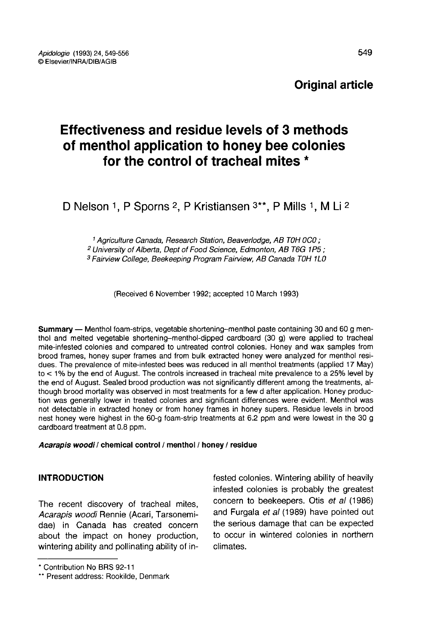# Effectiveness and residue levels of 3 methods of menthol application to honey bee colonies for the control of tracheal mites \*

D Nelson 1, P Sporns 2, P Kristiansen 3\*\*, P Mills 1, M Li 2

<sup>1</sup> Agriculture Canada, Research Station, Beaverlodge, AB TOH 0C0 ; <sup>2</sup> University of Alberta, Dept of Food Science, Edmonton, AB T6G 1P5 ; <sup>3</sup> Fairview College, Beekeeping Program Fairview, AB Canada TOH 1L0

(Received 6 November 1992; accepted 10 March 1993)

Summary — Menthol foam-strips, vegetable shortening-menthol paste containing 30 and 60 g menthol and melted vegetable shortening-menthol-dipped cardboard (30 g) were applied to tracheal mite-infested colonies and compared to untreated control colonies. Honey and wax samples from brood frames, honey super frames and from bulk extracted honey were analyzed for menthol resi-<br>dues. The prevalence of mite-infested bees was reduced in all menthol treatments (applied 17 May) to  $<$  1% by the end of August. The controls increased in tracheal mite prevalence to a 25% level by the end of August. Sealed brood production was not significantly different among the treatments, although brood mortality was observed in most treatments for a few d after application. Honey production was generally lower in treated colonies and significant differences were evident. Menthol was not detectable in extracted honey or from honey frames in honey supers. Residue levels in brood nest honey were highest in the 60-g foam-strip treatments at 6.2 ppm and were lowest in the 30 g cardboard treatment at 0.8 ppm.

Acarapis woodi / chemical control / menthol / honey / residue

# INTRODUCTION

The recent discovery of tracheal mites, Acarapis woodi Rennie (Acari, Tarsonemidae) in Canada has created concern about the impact on honey production, wintering ability and pollinating ability of infested colonies. Wintering ability of heavily infested colonies is probably the greatest concern to beekeepers. Otis et al (1986) and Furgala et al (1989) have pointed out the serious damage that can be expected to occur in wintered colonies in northern climates.

<sup>\*</sup> Contribution No BRS 92-11

<sup>\*\*</sup> Present address: Rookilde, Denmark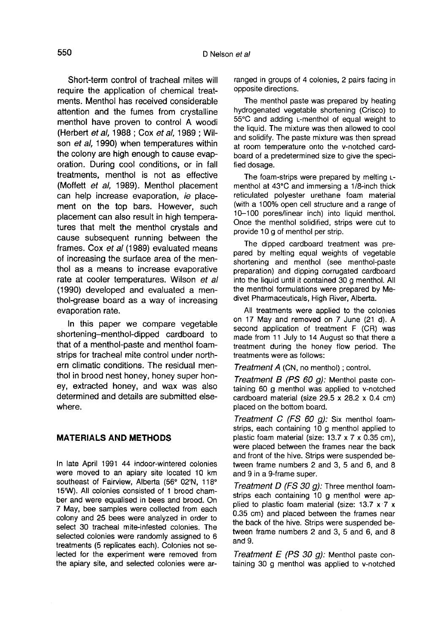Short-term control of tracheal mites will require the application of chemical treatments. Menthol has received considerable attention and the fumes from crystalline menthol have proven to control A woodi (Herbert et al, 1988 ; Cox et al, 1989 ; Wilson et al, 1990) when temperatures within the colony are high enough to cause evaporation. During cool conditions, or in fall treatments, menthol is not as effective (Moffett et al, 1989). Menthol placement can help increase evaporation, ie placement on the top bars. However, such placement can also result in high temperatures that melt the menthol crystals and cause subsequent running between the frames. Cox et al (1989) evaluated means of increasing the surface area of the menthol as a means to increase evaporative rate at cooler temperatures. Wilson et al (1990) developed and evaluated a menthol-grease board as a way of increasing evaporation rate.

In this paper we compare vegetable shortening-menthol-dipped cardboard to that of a menthol-paste and menthol foamstrips for tracheal mite control under northern climatic conditions. The residual menthol in brood nest honey, honey super honey, extracted honey, and wax was also determined and details are submitted elsewhere.

### MATERIALS AND METHODS

In late April 1991 44 indoor-wintered colonies were moved to an apiary site located 10 km southeast of Fairview, Alberta (56° 02'N, 118° 15'W). All colonies consisted of 1 brood chamber and were equalised in bees and brood. On 7 May, bee samples were collected from each colony and 25 bees were analyzed in order to select 30 tracheal mite-infested colonies. The selected colonies were randomly assigned to 6 treatments (5 replicates each). Colonies not selected for the experiment were removed from the apiary site, and selected colonies were arranged in groups of 4 colonies, 2 pairs facing in opposite directions.

The menthol paste was prepared by heating hydrogenated vegetable shortening (Crisco) to 55°C and adding L-menthol of equal weight to the liquid. The mixture was then allowed to cool and solidify. The paste mixture was then spread at room temperature onto the v-notched cardboard of a predetermined size to give the specified dosage.

The foam-strips were prepared by melting Lmenthol at 43°C and immersing a 1/8-inch thick reticulated polyester urethane foam material (with a 100% open cell structure and a range of 10-100 pores/linear inch) into liquid menthol. Once the menthol solidified, strips were cut to provide 10 g of menthol per strip.

The dipped cardboard treatment was prepared by melting equal weights of vegetable shortening and menthol (see menthol-paste preparation) and dipping corrugated cardboard into the liquid until it contained 30 g menthol. All the menthol formulations were prepared by Medivet Pharmaceuticals, High River, Alberta.

All treatments were applied to the colonies on 17 May and removed on 7 June (21 d). A second application of treatment F (CR) was made from 11 July to 14 August so that there a treatment during the honey flow period. The treatments were as follows:

Treatment A (CN, no menthol) ; control.

Treatment B (PS 60 g): Menthol paste containing 60 g menthol was applied to v-notched cardboard material (size 29.5 x 28.2 x 0.4 cm) placed on the bottom board.

Treatment C (FS 60 g): Six menthol foamstrips, each containing 10 g menthol applied to plastic foam material (size: 13.7 x 7 x 0.35 cm), were placed between the frames near the back and front of the hive. Strips were suspended between frame numbers 2 and 3, 5 and 6, and 8 and 9 in a 9-frame super.

Treatment D (FS 30 g): Three menthol foamstrips each containing 10 g menthol were applied to plastic foam material (size: 13.7 x 7 x 0.35 cm) and placed between the frames near the back of the hive. Strips were suspended between frame numbers 2 and 3, 5 and 6, and 8 and 9.

Treatment  $E$  (PS 30 g): Menthol paste containing 30 g menthol was applied to v-notched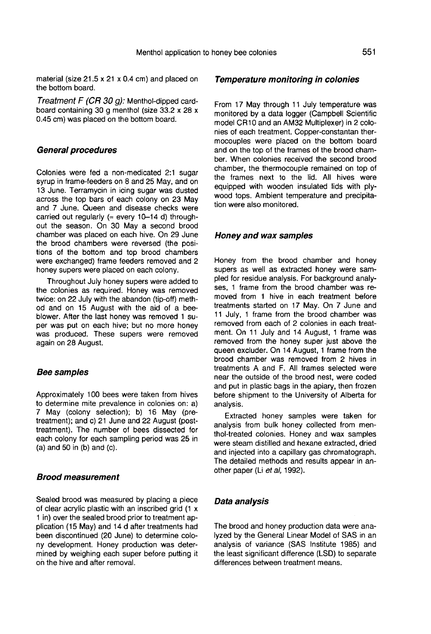material (size 21.5 x 21 x 0.4 cm) and placed on the bottom board.

Treatment F (CR 30 g): Menthol-dipped cardboard containing 30 g menthol (size 33.2 x 28 x 0.45 cm) was placed on the bottom board.

### General procedures

Colonies were fed a non-medicated 2:1 sugar syrup in frame-feeders on 8 and 25 May, and on 13 June. Terramycin in icing sugar was dusted across the top bars of each colony on 23 May and 7 June. Queen and disease checks were carried out regularly ( $\approx$  every 10-14 d) throughout the season. On 30 May a second brood chamber was placed on each hive. On 29 June the brood chambers were reversed (the positions of the bottom and top brood chambers were exchanged) frame feeders removed and 2 honey supers were placed on each colony.

Throughout July honey supers were added to the colonies as required. Honey was removed twice: on 22 July with the abandon (tip-off) method and on 15 August with the aid of a beeblower. After the last honey was removed 1 super was put on each hive; but no more honey was produced. These supers were removed again on 28 August.

#### Bee samples

Approximately 100 bees were taken from hives to determine mite prevalence in colonies on: a) 7 May (colony selection); b) 16 May (pretreatment); and c) 21 June and 22 August (posttreatment). The number of bees dissected for each colony for each sampling period was 25 in (a) and 50 in (b) and (c).

## Brood measurement

Sealed brood was measured by placing a piece of clear acrylic plastic with an inscribed grid (1 x 1 in) over the sealed brood prior to treatment application (15 May) and 14 d after treatments had been discontinued (20 June) to determine colony development. Honey production was determined by weighing each super before putting it on the hive and after removal.

#### Temperature monitoring in colonies

From 17 May through 11 July temperature was monitored by a data logger (Campbell Scientific model CR10 and an AM32 Multiplexer) in 2 colonies of each treatment. Copper-constantan thermocouples were placed on the bottom board and on the top of the frames of the brood chamber. When colonies received the second brood chamber, the thermocouple remained on top of the frames next to the lid. All hives were equipped with wooden insulated lids with plywood tops. Ambient temperature and precipitation were also monitored.

## Honey and wax samples

Honey from the brood chamber and honey supers as well as extracted honey were sampled for residue analysis. For background analy ses, 1 frame from the brood chamber was removed from 1 hive in each treatment before treatments started on 17 May. On 7 June and 11 July, 1 frame from the brood chamber was removed from each of 2 colonies in each treatment. On 11 July and 14 August, 1 frame was removed from the honey super just above the queen excluder. On 14 August, 1 frame from the brood chamber was removed from 2 hives in treatments A and F. All frames selected were near the outside of the brood nest, were coded and put in plastic bags in the apiary, then frozen before shipment to the University of Alberta for analysis.

Extracted honey samples were taken for analysis from bulk honey collected from menthol-treated colonies. Honey and wax samples were steam distilled and hexane extracted, dried and injected into a capillary gas chromatograph. The detailed methods and results appear in another paper (Li et al, 1992).

### Data analysis

The brood and honey production data were analyzed by the General Linear Model of SAS in an analysis of variance (SAS Institute 1985) and the least significant difference (LSD) to separate differences between treatment means.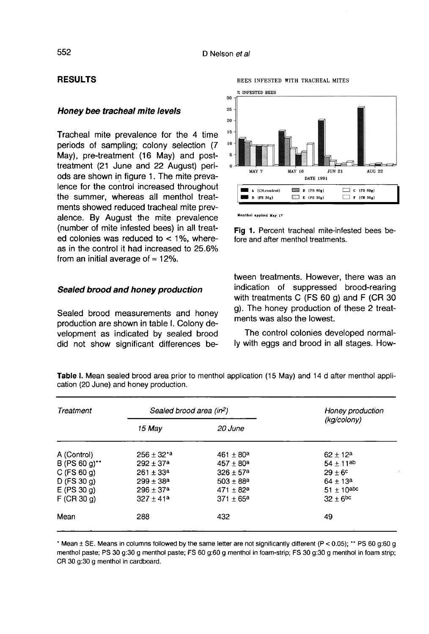## RESULTS

#### Honey bee tracheal mite levels

Tracheal mite prevalence for the 4 time periods of sampling; colony selection (7 May), pre-treatment (16 May) and posttreatment (21 June and 22 August) periods are shown in figure 1. The mite prevalence for the control increased throughout the summer, whereas all menthol treatments showed reduced tracheal mite prevalence. By August the mite prevalence (number of mite infested bees) in all treated colonies was reduced to  $<$  1%, whereas in the control it had increased to 25.6% from an initial average of  $\approx$  12%.

#### Sealed brood and honey production

Sealed brood measurements and honey production are shown in table I. Colony development as indicated by sealed brood did not show significant differences be-



BEES INFESTED WITH TRACHEAL MITES

Fig 1. Percent tracheal mite-infested bees before and after menthol treatments.

tween treatments. However, there was an indication of suppressed brood-rearing with treatments C (FS 60 g) and F (CR 30 g). The honey production of these 2 treatments was also the lowest.

The control colonies developed normally with eggs and brood in all stages. How-

| Treatment        | Sealed brood area (in <sup>2</sup> ) |                      | Honey production  |
|------------------|--------------------------------------|----------------------|-------------------|
|                  | 15 May                               | 20 June              | (kg/colony)       |
| A (Control)      | $256 + 32^{*}$ a                     | $461 + 80a$          | $62 \pm 12^a$     |
| $B (PS 60 g)$ ** | $292 \pm 37^a$                       | $457 + 80a$          | $54 + 11^{ab}$    |
| $C$ (FS 60 g)    | $261 \pm 33^a$                       | $326 + 57a$          | $29 + 6^{\circ}$  |
| $D$ (FS 30 g)    | $299 + 38a$                          | $503 \pm 88^{\rm a}$ | $64 \pm 13^a$     |
| $E$ (PS 30 g)    | $296 \pm 37^a$                       | $471 \pm 82^a$       | $51 \pm 10^{abc}$ |
| $F$ (CR 30 g)    | $327 \pm 41a$                        | $371 \pm 65^a$       | $32 + 6^{bc}$     |
| Mean             | 288                                  | 432                  | 49                |

Table 1. Mean sealed brood area prior to menthol application (15 May) and 14 d after menthol application (20 June) and honey production.

\* Mean  $\pm$  SE. Means in columns followed by the same letter are not significantly different (P < 0.05); \*\* PS 60 g:60 g menthol paste; PS 30 q:30 q menthol paste; FS 60 q:60 q menthol in foam-strip; FS 30 q:30 q menthol in foam strip; CR 30 g:30 g menthol in cardboard.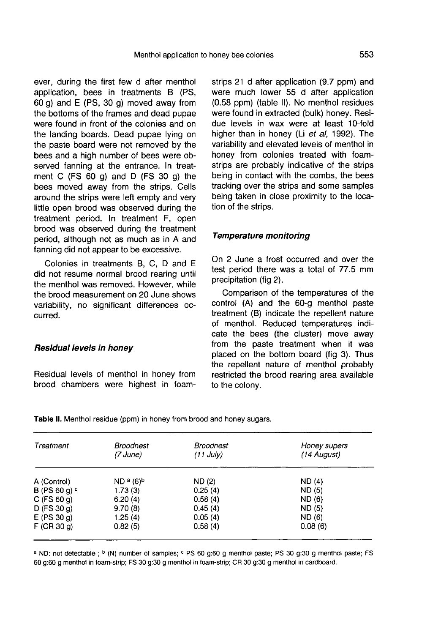ever, during the first few d after menthol application, bees in treatments B (PS, 60 g) and E (PS, 30 g) moved away from the bottoms of the frames and dead pupae were found in front of the colonies and on the landing boards. Dead pupae lying on the paste board were not removed by the bees and a high number of bees were observed fanning at the entrance. In treatment C (FS 60 g) and D (FS 30 g) the bees moved away from the strips. Cells around the strips were left empty and very little open brood was observed during the treatment period. In treatment F, open brood was observed during the treatment period, although not as much as in A and fanning did not appear to be excessive.

Colonies in treatments B, C, D and E did not resume normal brood rearing until the menthol was removed. However, while the brood measurement on 20 June shows variability, no significant differences occurred.

## Residual levels in honey

Residual levels of menthol in honey from brood chambers were highest in foamstrips 21 d after application (9.7 ppm) and were much lower 55 d after application (0.58 ppm) (table II). No menthol residues were found in extracted (bulk) honey. Residue levels in wax were at least 10-fold higher than in honey (Li et al, 1992). The variability and elevated levels of menthol in honey from colonies treated with foamstrips are probably indicative of the strips being in contact with the combs, the bees tracking over the strips and some samples being taken in close proximity to the location of the strips.

## Temperature monitoring

On 2 June a frost occurred and over the test period there was a total of 77.5 mm precipitation (fig 2).

Comparison of the temperatures of the control (A) and the 60-g menthol paste treatment (B) indicate the repellent nature of menthol. Reduced temperatures indicate the bees (the cluster) move away from the paste treatment when it was placed on the bottom board (fig 3). Thus the repellent nature of menthol probably restricted the brood rearing area available to the colony.

| Treatment       | Broodnest<br>(7 June)            | <b>Broodnest</b><br>$(11$ July) | Honey supers<br>(14 August) |
|-----------------|----------------------------------|---------------------------------|-----------------------------|
| A (Control)     | ND <sup>a</sup> (6) <sup>b</sup> | ND (2)                          | ND (4)                      |
| B (PS 60 g) $c$ | 1.73(3)                          | 0.25(4)                         | ND (5)                      |
| $C$ (FS 60 g)   | 6.20(4)                          | 0.58(4)                         | ND (6)                      |
| $D$ (FS 30 g)   | 9.70(8)                          | 0.45(4)                         | ND(5)                       |
| $E$ (PS 30 g)   | 1.25(4)                          | 0.05(4)                         | ND (6)                      |
| $F$ (CR 30 q)   | 0.82(5)                          | 0.58(4)                         | 0.08(6)                     |

Table II. Menthol residue (ppm) in honey from brood and honey sugars.

a ND: not detectable; b (N) number of samples; c PS 60 g:60 g menthol paste; PS 30 g:30 g menthol paste; FS 60 g:60 g menthol in foam-strip; FS 30 g:30 g menthol in foam-strip; CR 30 g:30 g menthol in cardboard.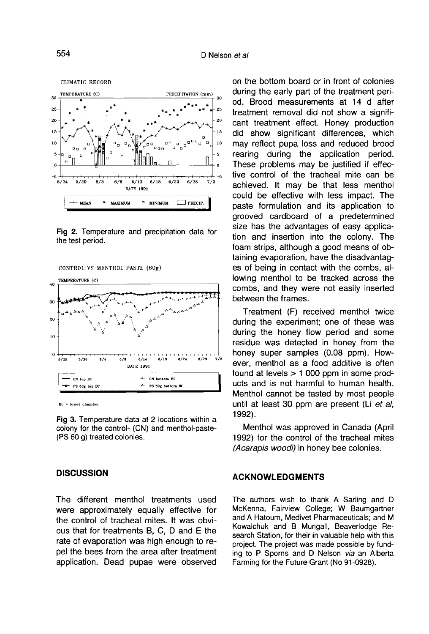

Fig 2. Temperature and precipitation data for the test period.





 $BC = broad channel$ 

Fig 3. Temperature data at 2 locations within a colony for the control- (CN) and menthol-paste-(PS 60 g) treated colonies.

## **DISCUSSION**

The different menthol treatments used were approximately equally effective for the control of tracheal mites. It was obvious that for treatments B, C, D and E the rate of evaporation was high enough to repel the bees from the area after treatment application. Dead pupae were observed on the bottom board or in front of colonies during the early part of the treatment period. Brood measurements at 14 d after treatment removal did not show a significant treatment effect. Honey production did show significant differences, which may reflect pupa loss and reduced brood rearing during the application period. These problems may be justified if effective control of the tracheal mite can be achieved. It may be that less menthol could be effective with less impact. The paste formulation and its application to grooved cardboard of a predetermined size has the advantages of easy application and insertion into the colony. The foam strips, although a good means of obtaining evaporation, have the disadvantag es of being in contact with the combs, allowing menthol to be tracked across the combs, and they were not easily inserted between the frames.

Treatment (F) received menthol twice during the experiment; one of these was during the honey flow period and some residue was detected in honey from the honey super samples (0.08 ppm). However, menthol as a food additive is often found at levels > 1 000 ppm in some products and is not harmful to human health. Menthol cannot be tasted by most people until at least 30 ppm are present (Li et al, 1992).

Menthol was approved in Canada (April 1992) for the control of the tracheal mites (Acarapis woodi) in honey bee colonies.

## ACKNOWLEDGMENTS

The authors wish to thank A Sarling and D McKenna, Fairview College; W Baumgartner and A Hatoum, Medivet Pharmaceuticals; and M Kowalchuk and B Mungall, Beaverlodge Research Station, for their in valuable help with this project. The project was made possible by funding to P Sporns and D Nelson via an Alberta Farming for the Future Grant (No 91-0928).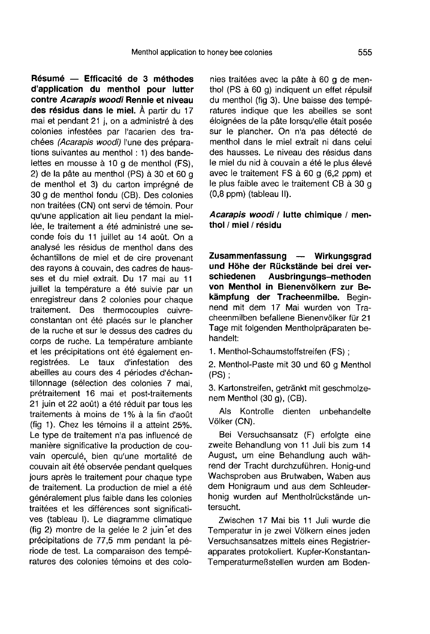Résumé — Efficacité de 3 méthodes d'application du menthol pour lutter contre Acarapis woodi Rennie et niveau des résidus dans le miel. À partir du 17 mai et pendant 21 j, on a administré à des colonies infestées par l'acarien des trachées (Acarapis woodi) l'une des préparations suivantes au menthol : 1) des bandelettes en mousse à 10 g de menthol (FS), 2) de la pâte au menthol (PS) à 30 et 60 g de menthol et 3) du carton imprégné de 30 g de menthol fondu (CB). Des colonies non traitées (CN) ont servi de témoin. Pour qu'une application ait lieu pendant la miellée, le traitement a été administré une seconde fois du 11 juillet au 14 août. On a analysé les résidus de menthol dans des échantillons de miel et de cire provenant des rayons à couvain, des cadres de hausses et du miel extrait. Du 17 mai au 11 juillet la température a été suivie par un enregistreur dans 2 colonies pour chaque traitement. Des thermocouples cuivreconstantan ont été placés sur le plancher de la ruche et sur le dessus des cadres du corps de ruche. La température ambiante et les précipitations ont été également enregistrées. Le taux d'infestation des abeilles au cours des 4 périodes d'échantillonnage (sélection des colonies 7 mai, prétraitement 16 mai et post-traitements 21 juin et 22 août) a été réduit par tous les traitements à moins de 1% à la fin d'août (fig 1). Chez les témoins il a atteint 25%. Le type de traitement n'a pas influencé de manière significative la production de couvain operculé, bien qu'une mortalité de couvain ait été observée pendant quelques jours après le traitement pour chaque type de traitement. La production de miel a été généralement plus faible dans les colonies traitées et les différences sont significati ves (tableau I). Le diagramme climatique (fig 2) montre de la gelée le 2 juin et des précipitations de 77,5 mm pendant la période de test. La comparaison des températures des colonies témoins et des colonies traitées avec la pâte à 60 g de menthol (PS à 60 g) indiquent un effet répulsif du menthol (fig 3). Une baisse des températures indique que les abeilles se sont<br>éloignées de la pâte lorsqu'elle était posée sur le plancher. On n'a pas détecté de menthol dans le miel extrait ni dans celui des hausses. Le niveau des résidus dans le miel du nid à couvain a été le plus élevé avec le traitement FS à 60 g (6,2 ppm) et le plus faible avec le traitement CB à 30 g (0,8 ppm) (tableau II).

## Acarapis woodi / lutte chimique / menthol / miel / résidu

Zusammenfassung — Wirkungsgrad und Höhe der Rückstände bei drei verschiedenen Ausbringungs-methoden<br>von Menthol in Bienenvölkern zur Bekämpfung der Tracheenmilbe. Beginnend mit dem 17 Mai wurden von Tracheenmilben befallene Bienenvölker für 21 Tage mit folgenden Mentholpräparaten behandelt:

1. Menthol-Schaumstoffstreifen (FS) ;

2. Menthol-Paste mit 30 und 60 g Menthol (PS) ;

3. Kartonstreifen, getränkt mit geschmolze- nem Menthol (30 g), (CB).

Als Kontrolle dienten unbehandelte Völker (CN).

Bei Versuchsansatz (F) erfolgte eine zweite Behandlung von 11 Juli bis zum 14 August, um eine Behandlung auch während der Tracht durchzuführen. Honig-und Wachsproben aus Brutwaben, Waben aus dem Honigraum und aus dem Schleuderhonig wurden auf Mentholrückstände untersucht.

Zwischen 17 Mai bis 11 Juli wurde die Temperatur in je zwei Völkern eines jeden Versuchsansatzes mittels eines Registrierapparates protokoliert. Kupfer-Konstantan-Temperaturmeßstellen wurden am Boden